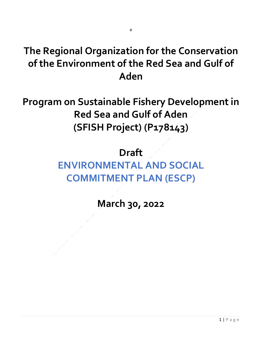## **The Regional Organization for the Conservation of the Environment of the Red Sea and Gulf of Aden**

**Program on Sustainable Fishery Development in Red Sea and Gulf of Aden (SFISH Project) (P178143)**

### **Draft**

# **ENVIRONMENTAL AND SOCIAL COMMITMENT PLAN (ESCP)**

#### **March 30, 2022**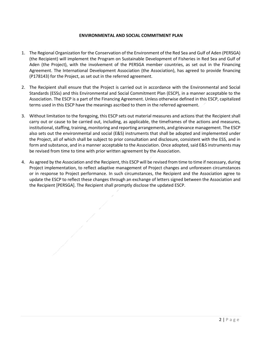#### **ENVIRONMENTAL AND SOCIAL COMMITMENT PLAN**

- 1. The Regional Organization for the Conservation of the Environment of the Red Sea and Gulf of Aden (PERSGA) (the Recipient) will implement the Program on Sustainable Development of Fisheries in Red Sea and Gulf of Aden (the Project), with the involvement of the PERSGA member countries, as set out in the Financing Agreement. The International Development Association (the Association), has agreed to provide financing (P178143) for the Project, as set out in the referred agreement.
- 2. The Recipient shall ensure that the Project is carried out in accordance with the Environmental and Social Standards (ESSs) and this Environmental and Social Commitment Plan (ESCP), in a manner acceptable to the Association. The ESCP is a part of the Financing Agreement. Unless otherwise defined in this ESCP, capitalized terms used in this ESCP have the meanings ascribed to them in the referred agreement.
- 3. Without limitation to the foregoing, this ESCP sets out material measures and actions that the Recipient shall carry out or cause to be carried out, including, as applicable, the timeframes of the actions and measures, institutional, staffing, training, monitoring and reporting arrangements, and grievance management. The ESCP also sets out the environmental and social (E&S) instruments that shall be adopted and implemented under the Project, all of which shall be subject to prior consultation and disclosure, consistent with the ESS, and in form and substance, and in a manner acceptable to the Association. Once adopted, said E&S instruments may be revised from time to time with prior written agreement by the Association.
- 4. As agreed by the Association and the Recipient, this ESCP will be revised from time to time if necessary, during Project implementation, to reflect adaptive management of Project changes and unforeseen circumstances or in response to Project performance. In such circumstances, the Recipient and the Association agree to update the ESCP to reflect these changes through an exchange of letters signed between the Association and the Recipient [PERSGA]. The Recipient shall promptly disclose the updated ESCP.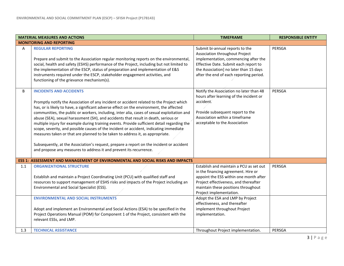| <b>MATERIAL MEASURES AND ACTIONS</b> |                                                                                                                                                                                                                                                                                                                                                                                                                                                                                                                                                                                                                                                                                                                                                                                                                                                          | <b>TIMEFRAME</b>                                                                                                                                                                                                                                                                                                                                            | <b>RESPONSIBLE ENTITY</b> |  |  |
|--------------------------------------|----------------------------------------------------------------------------------------------------------------------------------------------------------------------------------------------------------------------------------------------------------------------------------------------------------------------------------------------------------------------------------------------------------------------------------------------------------------------------------------------------------------------------------------------------------------------------------------------------------------------------------------------------------------------------------------------------------------------------------------------------------------------------------------------------------------------------------------------------------|-------------------------------------------------------------------------------------------------------------------------------------------------------------------------------------------------------------------------------------------------------------------------------------------------------------------------------------------------------------|---------------------------|--|--|
|                                      | <b>MONITORING AND REPORTING</b>                                                                                                                                                                                                                                                                                                                                                                                                                                                                                                                                                                                                                                                                                                                                                                                                                          |                                                                                                                                                                                                                                                                                                                                                             |                           |  |  |
| A                                    | <b>REGULAR REPORTING</b><br>Prepare and submit to the Association regular monitoring reports on the environmental,<br>social, health and safety (ESHS) performance of the Project, including but not limited to<br>the implementation of the ESCP, status of preparation and implementation of E&S<br>instruments required under the ESCP, stakeholder engagement activities, and<br>functioning of the grievance mechanism(s).                                                                                                                                                                                                                                                                                                                                                                                                                          | Submit bi-annual reports to the<br>Association throughout Project<br>implementation, commencing after the<br>Effective Date. Submit each report to<br>the Association] no later than 15 days<br>after the end of each reporting period.                                                                                                                     | PERSGA                    |  |  |
| B                                    | <b>INCIDENTS AND ACCIDENTS</b><br>Promptly notify the Association of any incident or accident related to the Project which<br>has, or is likely to have, a significant adverse effect on the environment, the affected<br>communities, the public or workers, including, inter alia, cases of sexual exploitation and<br>abuse (SEA), sexual harassment (SH), and accidents that result in death, serious or<br>multiple injury for example during training events. Provide sufficient detail regarding the<br>scope, severity, and possible causes of the incident or accident, indicating immediate<br>measures taken or that are planned to be taken to address it, as appropriate.<br>Subsequently, at the Association's request, prepare a report on the incident or accident<br>and propose any measures to address it and prevent its recurrence. | Notify the Association no later than 48<br>hours after learning of the incident or<br>accident.<br>Provide subsequent report to the<br>Association within a timeframe<br>acceptable to the Association                                                                                                                                                      | PERSGA                    |  |  |
|                                      | <b>ESS 1: ASSESSMENT AND MANAGEMENT OF ENVIRONMENTAL AND SOCIAL RISKS AND IMPACTS</b>                                                                                                                                                                                                                                                                                                                                                                                                                                                                                                                                                                                                                                                                                                                                                                    |                                                                                                                                                                                                                                                                                                                                                             |                           |  |  |
| 1.1                                  | <b>ORGANIZATIONAL STRUCTURE</b><br>Establish and maintain a Project Coordinating Unit (PCU) with qualified staff and<br>resources to support management of ESHS risks and impacts of the Project including an<br>Environmental and Social Specialist (ESS).<br><b>ENVIRONMENTAL AND SOCIAL INSTRUMENTS</b><br>Adopt and implement an Environmental and Social Actions (ESA) to be specified in the<br>Project Operations Manual (POM) for Component 1 of the Project, consistent with the<br>relevant ESSs, and LMP.                                                                                                                                                                                                                                                                                                                                     | Establish and maintain a PCU as set out<br>in the financing agreement. Hire or<br>appoint the ESS within one month after<br>Project effectiveness, and thereafter<br>maintain these positions throughout<br>Project implementation.<br>Adopt the ESA and LMP by Project<br>effectiveness, and thereafter<br>implement throughout Project<br>implementation. | PERSGA                    |  |  |
| 1.3                                  | <b>TECHNICAL ASSISTANCE</b>                                                                                                                                                                                                                                                                                                                                                                                                                                                                                                                                                                                                                                                                                                                                                                                                                              | Throughout Project implementation.                                                                                                                                                                                                                                                                                                                          | PERSGA                    |  |  |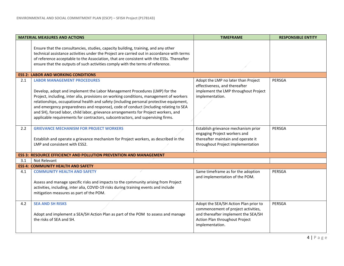| <b>MATERIAL MEASURES AND ACTIONS</b> |                                                                                                                                                                                                                                                                                                                                                                                                                                                      | <b>TIMEFRAME</b>                                                                                                                                                         | <b>RESPONSIBLE ENTITY</b> |
|--------------------------------------|------------------------------------------------------------------------------------------------------------------------------------------------------------------------------------------------------------------------------------------------------------------------------------------------------------------------------------------------------------------------------------------------------------------------------------------------------|--------------------------------------------------------------------------------------------------------------------------------------------------------------------------|---------------------------|
|                                      | Ensure that the consultancies, studies, capacity building, training, and any other<br>technical assistance activities under the Project are carried out in accordance with terms<br>of reference acceptable to the Association, that are consistent with the ESSs. Thereafter<br>ensure that the outputs of such activities comply with the terms of reference.                                                                                      |                                                                                                                                                                          |                           |
|                                      | <b>ESS 2: LABOR AND WORKING CONDITIONS</b>                                                                                                                                                                                                                                                                                                                                                                                                           |                                                                                                                                                                          |                           |
| 2.1                                  | <b>LABOR MANAGEMENT PROCEDURES</b><br>Develop, adopt and implement the Labor Management Procedures (LMP) for the                                                                                                                                                                                                                                                                                                                                     | Adopt the LMP no later than Project<br>effectiveness, and thereafter<br>implement the LMP throughout Project                                                             | PERSGA                    |
|                                      | Project, including, inter alia, provisions on working conditions, management of workers<br>relationships, occupational health and safety (including personal protective equipment,<br>and emergency preparedness and response), code of conduct (including relating to SEA<br>and SH), forced labor, child labor, grievance arrangements for Project workers, and<br>applicable requirements for contractors, subcontractors, and supervising firms. | implementation.                                                                                                                                                          |                           |
| 2.2                                  | <b>GRIEVANCE MECHANISM FOR PROJECT WORKERS</b><br>Establish and operate a grievance mechanism for Project workers, as described in the<br>LMP and consistent with ESS2.                                                                                                                                                                                                                                                                              | Establish grievance mechanism prior<br>engaging Project workers and<br>thereafter maintain and operate it<br>throughout Project implementation                           | PERSGA                    |
|                                      | <b>ESS 3: RESOURCE EFFICIENCY AND POLLUTION PREVENTION AND MANAGEMENT</b>                                                                                                                                                                                                                                                                                                                                                                            |                                                                                                                                                                          |                           |
| 3.1                                  | Not Relevant                                                                                                                                                                                                                                                                                                                                                                                                                                         |                                                                                                                                                                          |                           |
|                                      | <b>ESS 4: COMMUNITY HEALTH AND SAFETY</b>                                                                                                                                                                                                                                                                                                                                                                                                            |                                                                                                                                                                          |                           |
| 4.1                                  | <b>COMMUNITY HEALTH AND SAFETY</b><br>Assess and manage specific risks and impacts to the community arising from Project<br>activities, including, inter alia, COVID-19 risks during training events and include<br>mitigation measures as part of the POM.                                                                                                                                                                                          | Same timeframe as for the adoption<br>and implementation of the POM.                                                                                                     | PERSGA                    |
| 4.2                                  | <b>SEA AND SH RISKS</b><br>Adopt and implement a SEA/SH Action Plan as part of the POM to assess and manage<br>the risks of SEA and SH.                                                                                                                                                                                                                                                                                                              | Adopt the SEA/SH Action Plan prior to<br>commencement of project activities,<br>and thereafter implement the SEA/SH<br>Action Plan throughout Project<br>implementation. | PERSGA                    |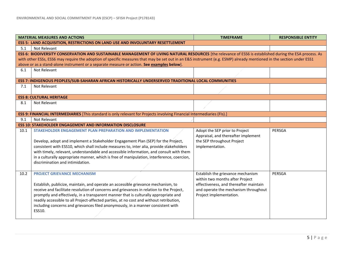| <b>MATERIAL MEASURES AND ACTIONS</b> |                                                                                                                                                                                     | <b>TIMEFRAME</b>                       | <b>RESPONSIBLE ENTITY</b> |  |  |  |
|--------------------------------------|-------------------------------------------------------------------------------------------------------------------------------------------------------------------------------------|----------------------------------------|---------------------------|--|--|--|
|                                      | <b>ESS 5: LAND ACQUISITION, RESTRICTIONS ON LAND USE AND INVOLUNTARY RESETTLEMENT</b>                                                                                               |                                        |                           |  |  |  |
| 5.1                                  | Not Relevant                                                                                                                                                                        |                                        |                           |  |  |  |
|                                      | ESS 6: BIODIVERSITY CONSERVATION AND SUSTAINABLE MANAGEMENT OF LIVING NATURAL RESOURCES [the relevance of ESS6 is established during the ESA process. As                            |                                        |                           |  |  |  |
|                                      | with other ESSs, ESS6 may require the adoption of specific measures that may be set out in an E&S instrument (e.g. ESMP) already mentioned in the section under ESS1                |                                        |                           |  |  |  |
|                                      | above or as a stand-alone instrument or a separate measure or action. See examples below].                                                                                          |                                        |                           |  |  |  |
| 6.1                                  | Not Relevant                                                                                                                                                                        |                                        |                           |  |  |  |
|                                      |                                                                                                                                                                                     |                                        |                           |  |  |  |
|                                      | ESS 7: INDIGENOUS PEOPLES/SUB-SAHARAN AFRICAN HISTORICALLY UNDERSERVED TRADITIONAL LOCAL COMMUNITIES                                                                                |                                        |                           |  |  |  |
| 7.1                                  | Not Relevant                                                                                                                                                                        |                                        |                           |  |  |  |
|                                      |                                                                                                                                                                                     |                                        |                           |  |  |  |
|                                      | <b>ESS 8: CULTURAL HERITAGE</b>                                                                                                                                                     |                                        |                           |  |  |  |
| 8.1                                  | Not Relevant                                                                                                                                                                        |                                        |                           |  |  |  |
|                                      |                                                                                                                                                                                     |                                        |                           |  |  |  |
|                                      | ESS 9: FINANCIAL INTERMEDIARIES [This standard is only relevant for Projects involving Financial Intermediaries (FIs).]                                                             |                                        |                           |  |  |  |
| 9.1                                  | Not Relevant                                                                                                                                                                        |                                        |                           |  |  |  |
|                                      | <b>ESS 10: STAKEHOLDER ENGAGEMENT AND INFORMATION DISCLOSURE</b>                                                                                                                    |                                        |                           |  |  |  |
| 10.1                                 | STAKEHOLDER ENGAGEMENT PLAN PREPARATION AND IMPLEMENTATION                                                                                                                          | Adopt the SEP prior to Project         | PERSGA                    |  |  |  |
|                                      |                                                                                                                                                                                     | Appraisal, and thereafter implement    |                           |  |  |  |
|                                      | Develop, adopt and implement a Stakeholder Engagement Plan (SEP) for the Project,                                                                                                   | the SEP throughout Project             |                           |  |  |  |
|                                      | consistent with ESS10, which shall include measures to, inter alia, provide stakeholders<br>with timely, relevant, understandable and accessible information, and consult with them | implementation.                        |                           |  |  |  |
|                                      | in a culturally appropriate manner, which is free of manipulation, interference, coercion,                                                                                          |                                        |                           |  |  |  |
|                                      | discrimination and intimidation.                                                                                                                                                    |                                        |                           |  |  |  |
|                                      |                                                                                                                                                                                     |                                        |                           |  |  |  |
| 10.2                                 | <b>PROJECT GRIEVANCE MECHANISM</b>                                                                                                                                                  | Establish the grievance mechanism      | PERSGA                    |  |  |  |
|                                      |                                                                                                                                                                                     | within two months after Project        |                           |  |  |  |
|                                      | Establish, publicize, maintain, and operate an accessible grievance mechanism, to                                                                                                   | effectiveness, and thereafter maintain |                           |  |  |  |
|                                      | receive and facilitate resolution of concerns and grievances in relation to the Project,                                                                                            | and operate the mechanism throughout   |                           |  |  |  |
|                                      | promptly and effectively, in a transparent manner that is culturally appropriate and                                                                                                | Project implementation.                |                           |  |  |  |
|                                      | readily accessible to all Project-affected parties, at no cost and without retribution,                                                                                             |                                        |                           |  |  |  |
|                                      | including concerns and grievances filed anonymously, in a manner consistent with                                                                                                    |                                        |                           |  |  |  |
|                                      | ESS10.                                                                                                                                                                              |                                        |                           |  |  |  |
|                                      |                                                                                                                                                                                     |                                        |                           |  |  |  |